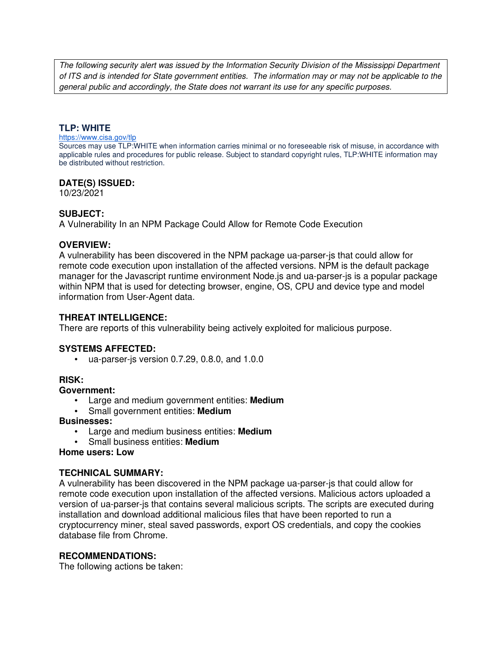The following security alert was issued by the Information Security Division of the Mississippi Department of ITS and is intended for State government entities. The information may or may not be applicable to the general public and accordingly, the State does not warrant its use for any specific purposes.

## **TLP: WHITE**

#### https://www.cisa.gov/tlp

Sources may use TLP:WHITE when information carries minimal or no foreseeable risk of misuse, in accordance with applicable rules and procedures for public release. Subject to standard copyright rules, TLP:WHITE information may be distributed without restriction.

### **DATE(S) ISSUED:**

10/23/2021

# **SUBJECT:**

A Vulnerability In an NPM Package Could Allow for Remote Code Execution

### **OVERVIEW:**

A vulnerability has been discovered in the NPM package ua-parser-js that could allow for remote code execution upon installation of the affected versions. NPM is the default package manager for the Javascript runtime environment Node.js and ua-parser-js is a popular package within NPM that is used for detecting browser, engine, OS, CPU and device type and model information from User-Agent data.

# **THREAT INTELLIGENCE:**

There are reports of this vulnerability being actively exploited for malicious purpose.

### **SYSTEMS AFFECTED:**

• ua-parser-js version 0.7.29, 0.8.0, and 1.0.0

## **RISK:**

## **Government:**

- Large and medium government entities: **Medium**
- Small government entities: **Medium**

### **Businesses:**

- Large and medium business entities: **Medium**
- Small business entities: **Medium**

### **Home users: Low**

### **TECHNICAL SUMMARY:**

A vulnerability has been discovered in the NPM package ua-parser-js that could allow for remote code execution upon installation of the affected versions. Malicious actors uploaded a version of ua-parser-js that contains several malicious scripts. The scripts are executed during installation and download additional malicious files that have been reported to run a cryptocurrency miner, steal saved passwords, export OS credentials, and copy the cookies database file from Chrome.

### **RECOMMENDATIONS:**

The following actions be taken: